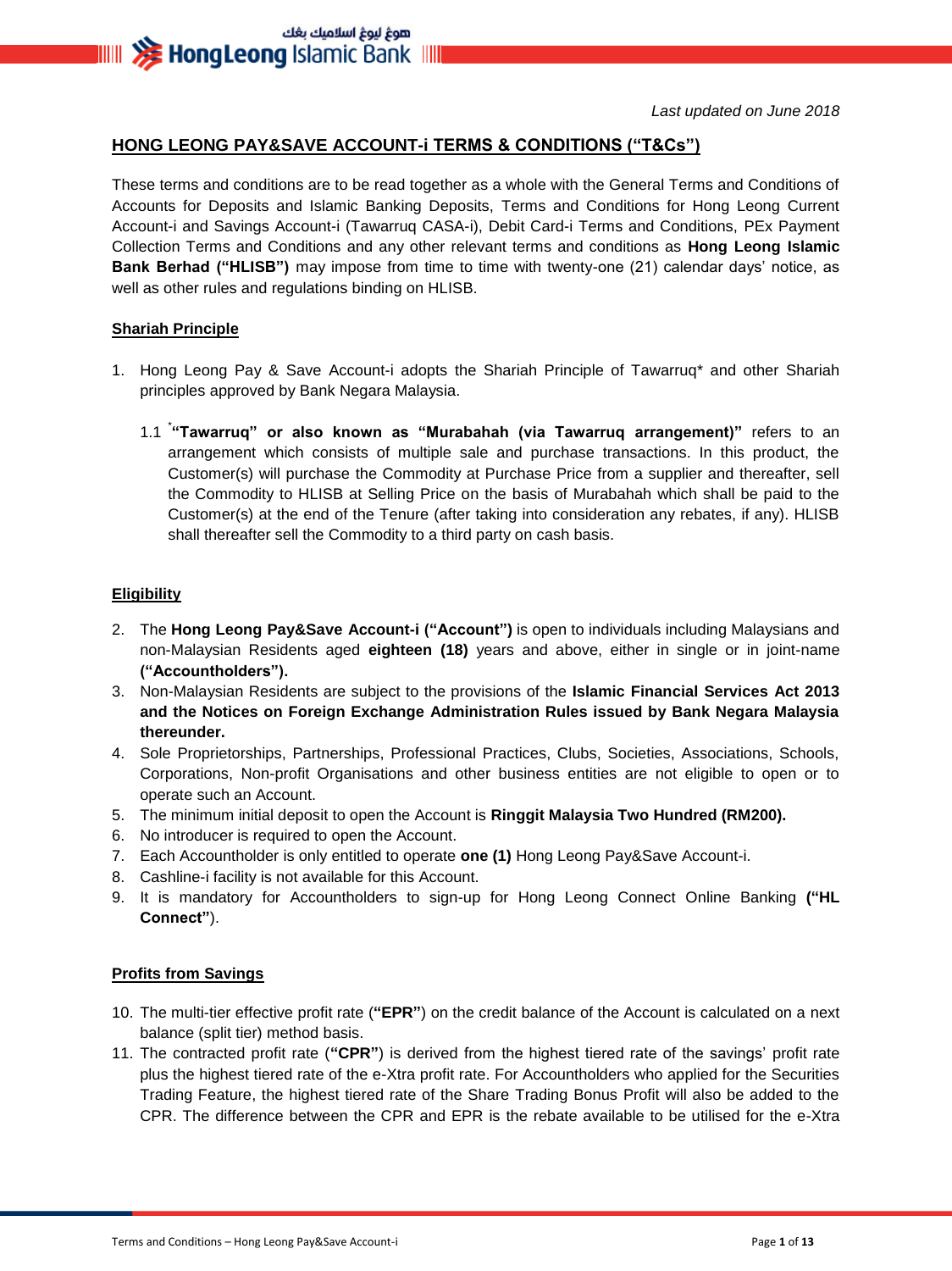هوغ ليوغ اسلاميك بغك **IIIII >>>>> HongLeong** Islamic Bank IIIII

*Last updated on June 2018*

#### **HONG LEONG PAY&SAVE ACCOUNT-i TERMS & CONDITIONS ("T&Cs")**

These terms and conditions are to be read together as a whole with the General Terms and Conditions of Accounts for Deposits and Islamic Banking Deposits, Terms and Conditions for Hong Leong Current Account-i and Savings Account-i (Tawarruq CASA-i), Debit Card-i Terms and Conditions, PEx Payment Collection Terms and Conditions and any other relevant terms and conditions as **Hong Leong Islamic Bank Berhad ("HLISB")** may impose from time to time with twenty-one (21) calendar days' notice, as well as other rules and regulations binding on HLISB.

#### **Shariah Principle**

- 1. Hong Leong Pay & Save Account-i adopts the Shariah Principle of Tawarruq\* and other Shariah principles approved by Bank Negara Malaysia.
	- 1.1 \* **"Tawarruq" or also known as "Murabahah (via Tawarruq arrangement)"** refers to an arrangement which consists of multiple sale and purchase transactions. In this product, the Customer(s) will purchase the Commodity at Purchase Price from a supplier and thereafter, sell the Commodity to HLISB at Selling Price on the basis of Murabahah which shall be paid to the Customer(s) at the end of the Tenure (after taking into consideration any rebates, if any). HLISB shall thereafter sell the Commodity to a third party on cash basis.

#### **Eligibility**

- 2. The **Hong Leong Pay&Save Account-i ("Account")** is open to individuals including Malaysians and non-Malaysian Residents aged **eighteen (18)** years and above, either in single or in joint-name **("Accountholders").**
- 3. Non-Malaysian Residents are subject to the provisions of the **Islamic Financial Services Act 2013 and the Notices on Foreign Exchange Administration Rules issued by Bank Negara Malaysia thereunder.**
- 4. Sole Proprietorships, Partnerships, Professional Practices, Clubs, Societies, Associations, Schools, Corporations, Non-profit Organisations and other business entities are not eligible to open or to operate such an Account.
- 5. The minimum initial deposit to open the Account is **Ringgit Malaysia Two Hundred (RM200).**
- 6. No introducer is required to open the Account.
- 7. Each Accountholder is only entitled to operate **one (1)** Hong Leong Pay&Save Account-i.
- 8. Cashline-i facility is not available for this Account.
- 9. It is mandatory for Accountholders to sign-up for Hong Leong Connect Online Banking **("HL Connect"**).

#### **Profits from Savings**

- 10. The multi-tier effective profit rate (**"EPR"**) on the credit balance of the Account is calculated on a next balance (split tier) method basis.
- 11. The contracted profit rate (**"CPR"**) is derived from the highest tiered rate of the savings' profit rate plus the highest tiered rate of the e-Xtra profit rate. For Accountholders who applied for the Securities Trading Feature, the highest tiered rate of the Share Trading Bonus Profit will also be added to the CPR. The difference between the CPR and EPR is the rebate available to be utilised for the e-Xtra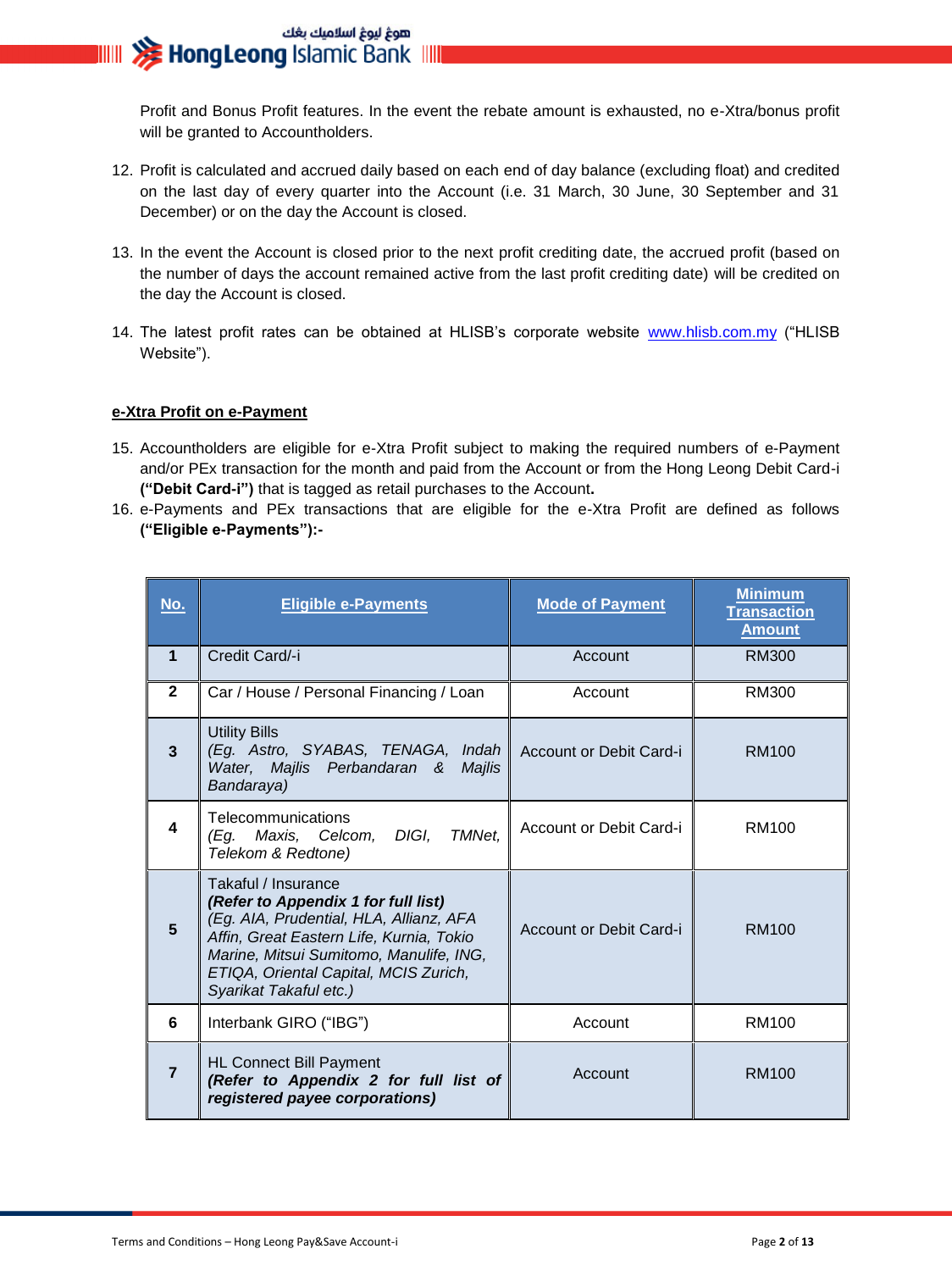Profit and Bonus Profit features. In the event the rebate amount is exhausted, no e-Xtra/bonus profit will be granted to Accountholders.

- 12. Profit is calculated and accrued daily based on each end of day balance (excluding float) and credited on the last day of every quarter into the Account (i.e. 31 March, 30 June, 30 September and 31 December) or on the day the Account is closed.
- 13. In the event the Account is closed prior to the next profit crediting date, the accrued profit (based on the number of days the account remained active from the last profit crediting date) will be credited on the day the Account is closed.
- 14. The latest profit rates can be obtained at HLISB's corporate website [www.hlisb.com.my](http://www.hlisb.com.my/) ("HLISB Website").

#### **e-Xtra Profit on e-Payment**

- 15. Accountholders are eligible for e-Xtra Profit subject to making the required numbers of e-Payment and/or PEx transaction for the month and paid from the Account or from the Hong Leong Debit Card-i **("Debit Card-i")** that is tagged as retail purchases to the Account**.**
- 16. e-Payments and PEx transactions that are eligible for the e-Xtra Profit are defined as follows **("Eligible e-Payments"):-**

| <u>No.</u>     | <b>Eligible e-Payments</b>                                                                                                                                                                                                                                      | <b>Mode of Payment</b>  | <b>Minimum</b><br><b>Transaction</b><br><b>Amount</b> |
|----------------|-----------------------------------------------------------------------------------------------------------------------------------------------------------------------------------------------------------------------------------------------------------------|-------------------------|-------------------------------------------------------|
| 1              | Credit Card/-i                                                                                                                                                                                                                                                  | Account                 | <b>RM300</b>                                          |
| $\mathbf{2}$   | Car / House / Personal Financing / Loan                                                                                                                                                                                                                         | Account                 | RM300                                                 |
| 3              | <b>Utility Bills</b><br>(Eg. Astro, SYABAS, TENAGA, Indah<br>Water, Majlis Perbandaran &<br>Majlis<br>Bandaraya)                                                                                                                                                | Account or Debit Card-i | RM100                                                 |
| 4              | Telecommunications<br>DIGI,<br>TMNet.<br>(Eg. Maxis, Celcom,<br>Telekom & Redtone)                                                                                                                                                                              | Account or Debit Card-i | RM100                                                 |
| 5              | Takaful / Insurance<br>(Refer to Appendix 1 for full list)<br>(Eg. AIA, Prudential, HLA, Allianz, AFA<br>Affin, Great Eastern Life, Kurnia, Tokio<br>Marine, Mitsui Sumitomo, Manulife, ING,<br>ETIQA, Oriental Capital, MCIS Zurich,<br>Syarikat Takaful etc.) | Account or Debit Card-i | RM100                                                 |
| 6              | Interbank GIRO ("IBG")                                                                                                                                                                                                                                          | Account                 | <b>RM100</b>                                          |
| $\overline{7}$ | <b>HL Connect Bill Payment</b><br>(Refer to Appendix 2 for full list of<br>registered payee corporations)                                                                                                                                                       | Account                 | RM100                                                 |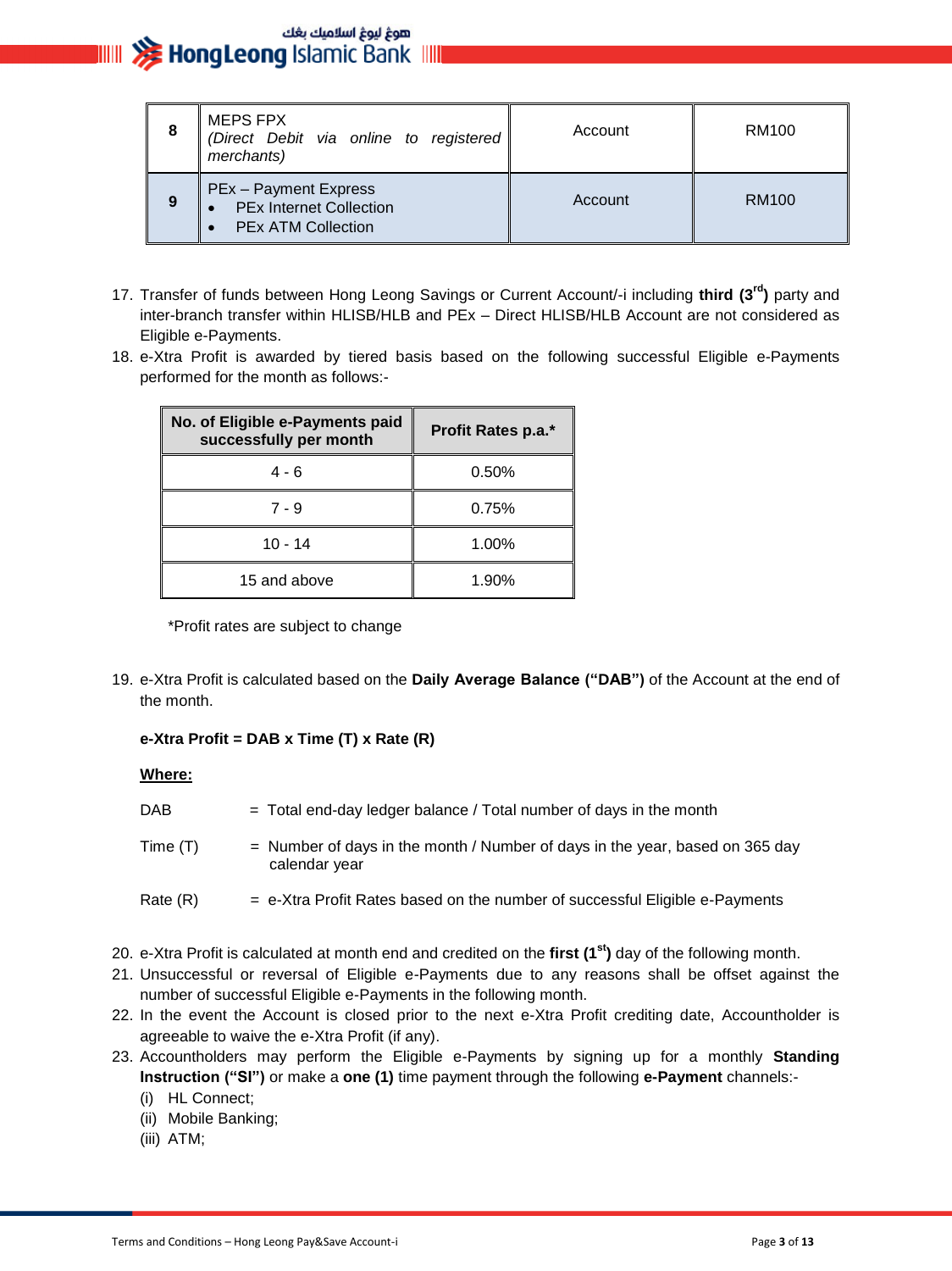| 8 | <b>MEPS FPX</b><br>(Direct Debit via online to registered<br>merchants)                     | Account | RM100             |
|---|---------------------------------------------------------------------------------------------|---------|-------------------|
| 9 | <b>PEx - Payment Express</b><br><b>PEx Internet Collection</b><br><b>PEx ATM Collection</b> | Account | RM <sub>100</sub> |

- 17. Transfer of funds between Hong Leong Savings or Current Account/-i including **third (3rd)** party and inter-branch transfer within HLISB/HLB and PEx – Direct HLISB/HLB Account are not considered as Eligible e-Payments.
- 18. e-Xtra Profit is awarded by tiered basis based on the following successful Eligible e-Payments performed for the month as follows:-

| No. of Eligible e-Payments paid<br>successfully per month | Profit Rates p.a.* |
|-----------------------------------------------------------|--------------------|
| 4 - 6                                                     | 0.50%              |
| $7 - 9$                                                   | 0.75%              |
| $10 - 14$                                                 | 1.00%              |
| 15 and above                                              | 1.90%              |

\*Profit rates are subject to change

19. e-Xtra Profit is calculated based on the **Daily Average Balance ("DAB")** of the Account at the end of the month.

#### **e-Xtra Profit = DAB x Time (T) x Rate (R)**

#### **Where:**

| DAB      | $=$ Total end-day ledger balance / Total number of days in the month                            |
|----------|-------------------------------------------------------------------------------------------------|
| Time (T) | $=$ Number of days in the month / Number of days in the year, based on 365 day<br>calendar year |
| Rate (R) | $=$ e-Xtra Profit Rates based on the number of successful Eligible e-Payments                   |

- 20. e-Xtra Profit is calculated at month end and credited on the **first (1st)** day of the following month.
- 21. Unsuccessful or reversal of Eligible e-Payments due to any reasons shall be offset against the number of successful Eligible e-Payments in the following month.
- 22. In the event the Account is closed prior to the next e-Xtra Profit crediting date, Accountholder is agreeable to waive the e-Xtra Profit (if any).
- 23. Accountholders may perform the Eligible e-Payments by signing up for a monthly **Standing Instruction ("SI")** or make a **one (1)** time payment through the following **e-Payment** channels:-
	- (i) HL Connect;
	- (ii) Mobile Banking;
	- (iii) ATM;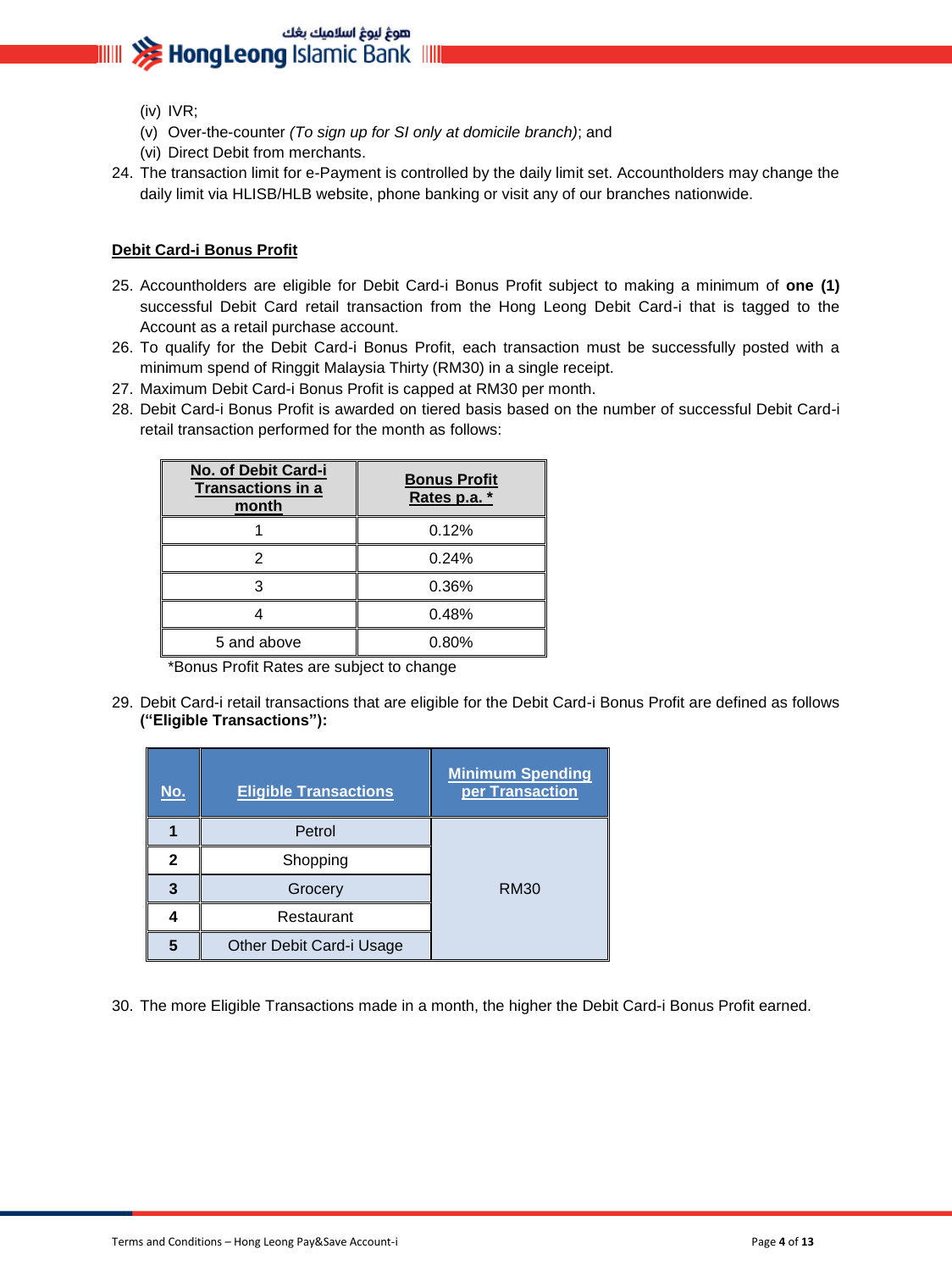- (iv) IVR;
- (v) Over-the-counter *(To sign up for SI only at domicile branch)*; and
- (vi) Direct Debit from merchants.
- 24. The transaction limit for e-Payment is controlled by the daily limit set. Accountholders may change the daily limit via HLISB/HLB website, phone banking or visit any of our branches nationwide.

#### **Debit Card-i Bonus Profit**

- 25. Accountholders are eligible for Debit Card-i Bonus Profit subject to making a minimum of **one (1)** successful Debit Card retail transaction from the Hong Leong Debit Card-i that is tagged to the Account as a retail purchase account.
- 26. To qualify for the Debit Card-i Bonus Profit, each transaction must be successfully posted with a minimum spend of Ringgit Malaysia Thirty (RM30) in a single receipt.
- 27. Maximum Debit Card-i Bonus Profit is capped at RM30 per month.
- 28. Debit Card-i Bonus Profit is awarded on tiered basis based on the number of successful Debit Card-i retail transaction performed for the month as follows:

| No. of Debit Card-i<br><b>Transactions in a</b><br>month | <b>Bonus Profit</b><br>Rates p.a. * |
|----------------------------------------------------------|-------------------------------------|
|                                                          | 0.12%                               |
|                                                          | 0.24%                               |
|                                                          | 0.36%                               |
|                                                          | 0.48%                               |
| 5 and above                                              | 0.80%                               |

\*Bonus Profit Rates are subject to change

29. Debit Card-i retail transactions that are eligible for the Debit Card-i Bonus Profit are defined as follows **("Eligible Transactions"):**

| No. | <b>Eligible Transactions</b> | <b>Minimum Spending</b><br>per Transaction |
|-----|------------------------------|--------------------------------------------|
|     | Petrol                       |                                            |
| 2   | Shopping                     |                                            |
| 3   | Grocery                      | RM30                                       |
|     | Restaurant                   |                                            |
| 5   | Other Debit Card-i Usage     |                                            |

30. The more Eligible Transactions made in a month, the higher the Debit Card-i Bonus Profit earned.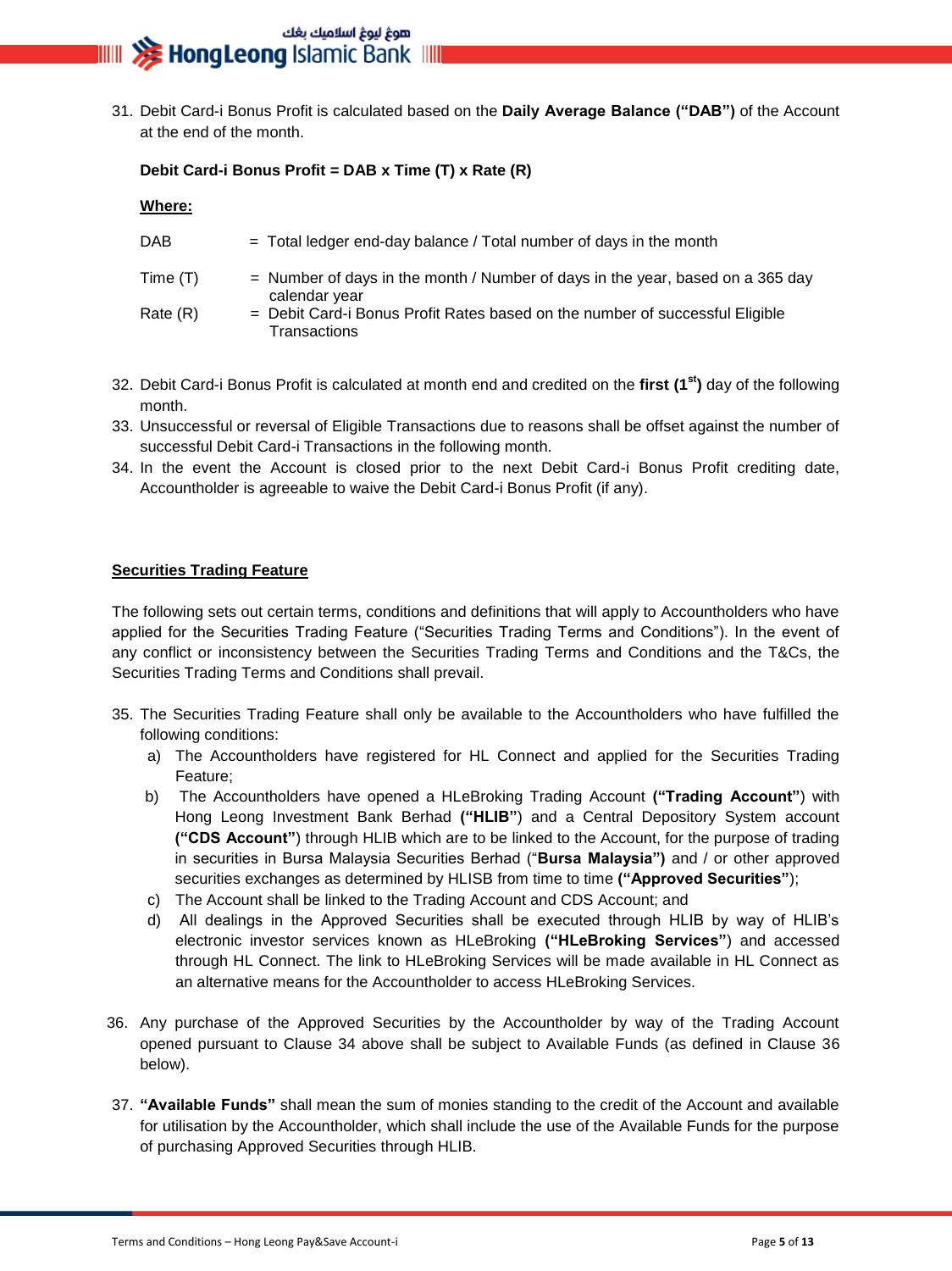## هوغ ليوغ اسلاميك بغك **IIIII >>>>> HongLeong** Islamic Bank IIIII

31. Debit Card-i Bonus Profit is calculated based on the **Daily Average Balance ("DAB")** of the Account at the end of the month.

**Debit Card-i Bonus Profit = DAB x Time (T) x Rate (R)** 

|  | ۷h<br>۱er |  |
|--|-----------|--|
|  |           |  |

| DAB      | $=$ Total ledger end-day balance / Total number of days in the month                              |
|----------|---------------------------------------------------------------------------------------------------|
| Time (T) | $=$ Number of days in the month / Number of days in the year, based on a 365 day<br>calendar year |
| Rate (R) | = Debit Card-i Bonus Profit Rates based on the number of successful Eligible                      |

- **Transactions**
- 32. Debit Card-i Bonus Profit is calculated at month end and credited on the **first (1st)** day of the following month.
- 33. Unsuccessful or reversal of Eligible Transactions due to reasons shall be offset against the number of successful Debit Card-i Transactions in the following month.
- 34. In the event the Account is closed prior to the next Debit Card-i Bonus Profit crediting date, Accountholder is agreeable to waive the Debit Card-i Bonus Profit (if any).

#### **Securities Trading Feature**

The following sets out certain terms, conditions and definitions that will apply to Accountholders who have applied for the Securities Trading Feature ("Securities Trading Terms and Conditions"). In the event of any conflict or inconsistency between the Securities Trading Terms and Conditions and the T&Cs, the Securities Trading Terms and Conditions shall prevail.

- 35. The Securities Trading Feature shall only be available to the Accountholders who have fulfilled the following conditions:
	- a) The Accountholders have registered for HL Connect and applied for the Securities Trading Feature;
	- b) The Accountholders have opened a HLeBroking Trading Account **("Trading Account"**) with Hong Leong Investment Bank Berhad **("HLIB"**) and a Central Depository System account **("CDS Account"**) through HLIB which are to be linked to the Account, for the purpose of trading in securities in Bursa Malaysia Securities Berhad ("**Bursa Malaysia")** and / or other approved securities exchanges as determined by HLISB from time to time **("Approved Securities"**);
	- c) The Account shall be linked to the Trading Account and CDS Account; and
	- d) All dealings in the Approved Securities shall be executed through HLIB by way of HLIB's electronic investor services known as HLeBroking **("HLeBroking Services"**) and accessed through HL Connect. The link to HLeBroking Services will be made available in HL Connect as an alternative means for the Accountholder to access HLeBroking Services.
- 36. Any purchase of the Approved Securities by the Accountholder by way of the Trading Account opened pursuant to Clause 34 above shall be subject to Available Funds (as defined in Clause 36 below).
- 37. **"Available Funds"** shall mean the sum of monies standing to the credit of the Account and available for utilisation by the Accountholder, which shall include the use of the Available Funds for the purpose of purchasing Approved Securities through HLIB.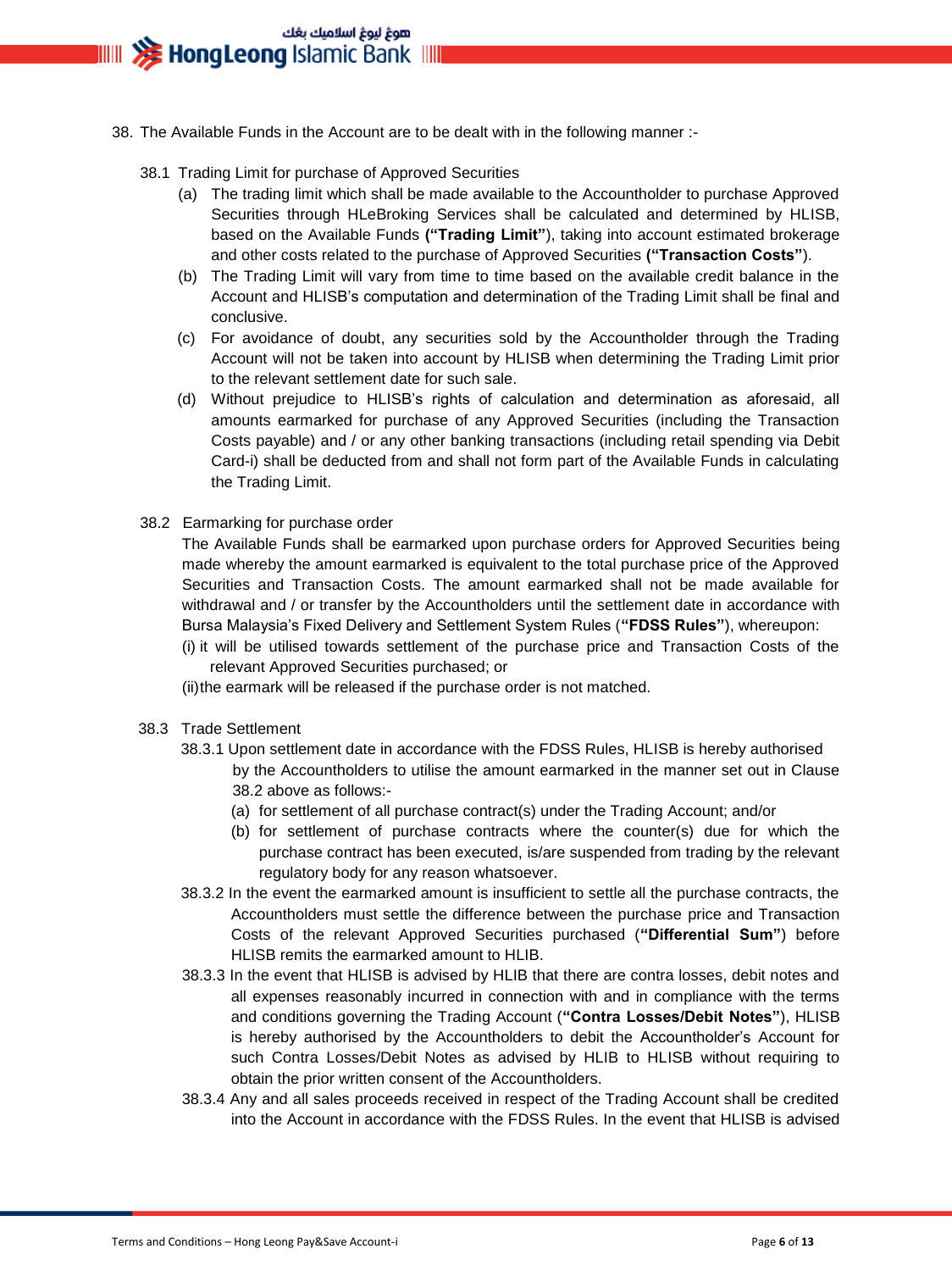- 38. The Available Funds in the Account are to be dealt with in the following manner :-
	- 38.1 Trading Limit for purchase of Approved Securities
		- (a) The trading limit which shall be made available to the Accountholder to purchase Approved Securities through HLeBroking Services shall be calculated and determined by HLISB, based on the Available Funds **("Trading Limit"**), taking into account estimated brokerage and other costs related to the purchase of Approved Securities **("Transaction Costs"**).
		- (b) The Trading Limit will vary from time to time based on the available credit balance in the Account and HLISB's computation and determination of the Trading Limit shall be final and conclusive.
		- (c) For avoidance of doubt, any securities sold by the Accountholder through the Trading Account will not be taken into account by HLISB when determining the Trading Limit prior to the relevant settlement date for such sale.
		- (d) Without prejudice to HLISB's rights of calculation and determination as aforesaid, all amounts earmarked for purchase of any Approved Securities (including the Transaction Costs payable) and / or any other banking transactions (including retail spending via Debit Card-i) shall be deducted from and shall not form part of the Available Funds in calculating the Trading Limit.
	- 38.2 Earmarking for purchase order

The Available Funds shall be earmarked upon purchase orders for Approved Securities being made whereby the amount earmarked is equivalent to the total purchase price of the Approved Securities and Transaction Costs. The amount earmarked shall not be made available for withdrawal and / or transfer by the Accountholders until the settlement date in accordance with Bursa Malaysia's Fixed Delivery and Settlement System Rules (**"FDSS Rules"**), whereupon:

- (i) it will be utilised towards settlement of the purchase price and Transaction Costs of the relevant Approved Securities purchased; or
- (ii)the earmark will be released if the purchase order is not matched.
- 38.3 Trade Settlement
	- 38.3.1 Upon settlement date in accordance with the FDSS Rules, HLISB is hereby authorised by the Accountholders to utilise the amount earmarked in the manner set out in Clause 38.2 above as follows:-
		- (a) for settlement of all purchase contract(s) under the Trading Account; and/or
		- (b) for settlement of purchase contracts where the counter(s) due for which the purchase contract has been executed, is/are suspended from trading by the relevant regulatory body for any reason whatsoever.
	- 38.3.2 In the event the earmarked amount is insufficient to settle all the purchase contracts, the Accountholders must settle the difference between the purchase price and Transaction Costs of the relevant Approved Securities purchased (**"Differential Sum"**) before HLISB remits the earmarked amount to HLIB.
	- 38.3.3 In the event that HLISB is advised by HLIB that there are contra losses, debit notes and all expenses reasonably incurred in connection with and in compliance with the terms and conditions governing the Trading Account (**"Contra Losses/Debit Notes"**), HLISB is hereby authorised by the Accountholders to debit the Accountholder's Account for such Contra Losses/Debit Notes as advised by HLIB to HLISB without requiring to obtain the prior written consent of the Accountholders.
	- 38.3.4 Any and all sales proceeds received in respect of the Trading Account shall be credited into the Account in accordance with the FDSS Rules. In the event that HLISB is advised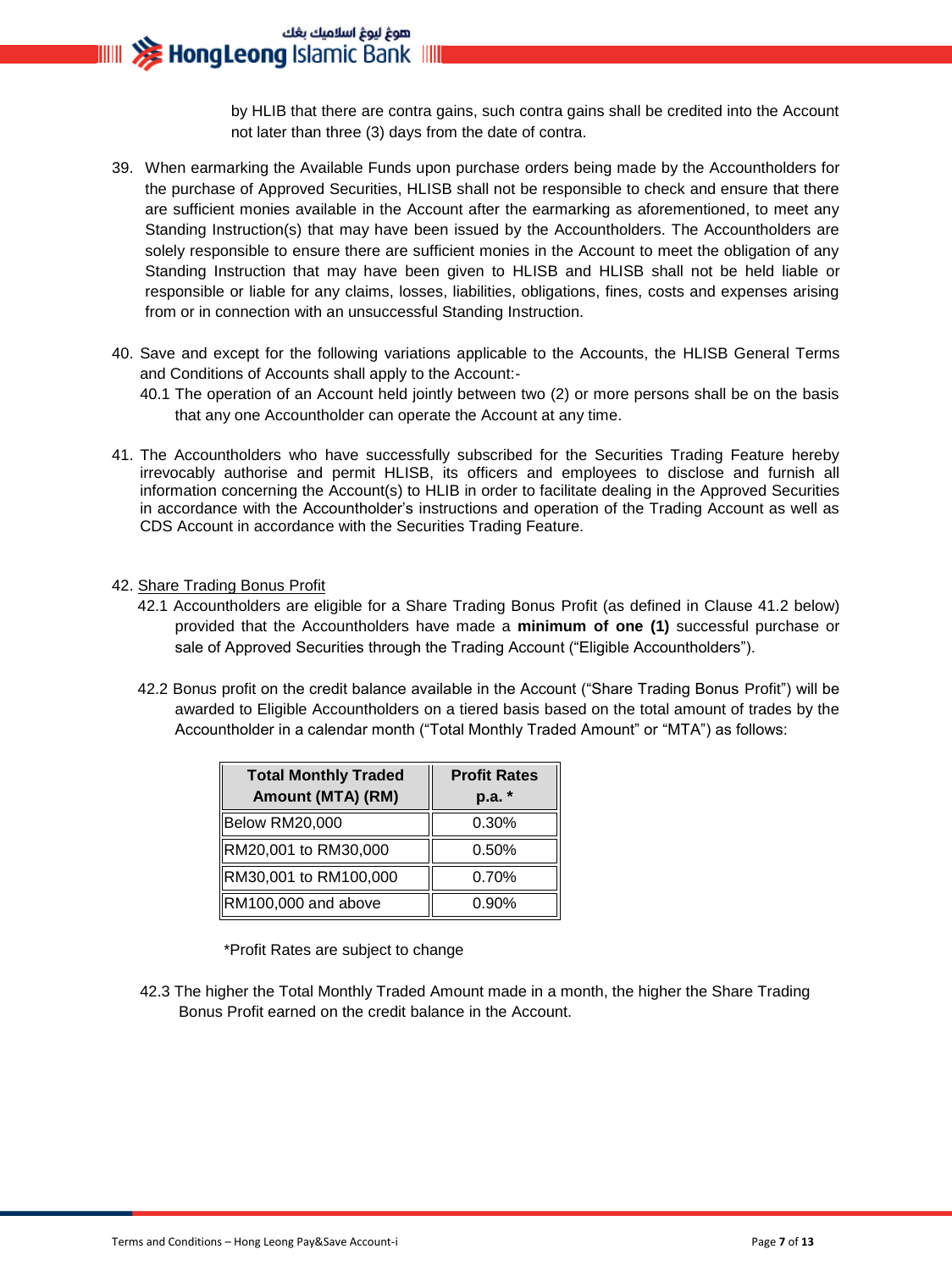هوغ ليوغ اسلاميك بغك **HongLeong Islamic Bank IIII** 

> by HLIB that there are contra gains, such contra gains shall be credited into the Account not later than three (3) days from the date of contra.

- 39. When earmarking the Available Funds upon purchase orders being made by the Accountholders for the purchase of Approved Securities, HLISB shall not be responsible to check and ensure that there are sufficient monies available in the Account after the earmarking as aforementioned, to meet any Standing Instruction(s) that may have been issued by the Accountholders. The Accountholders are solely responsible to ensure there are sufficient monies in the Account to meet the obligation of any Standing Instruction that may have been given to HLISB and HLISB shall not be held liable or responsible or liable for any claims, losses, liabilities, obligations, fines, costs and expenses arising from or in connection with an unsuccessful Standing Instruction.
- 40. Save and except for the following variations applicable to the Accounts, the HLISB General Terms and Conditions of Accounts shall apply to the Account:-
	- 40.1 The operation of an Account held jointly between two (2) or more persons shall be on the basis that any one Accountholder can operate the Account at any time.
- 41. The Accountholders who have successfully subscribed for the Securities Trading Feature hereby irrevocably authorise and permit HLISB, its officers and employees to disclose and furnish all information concerning the Account(s) to HLIB in order to facilitate dealing in the Approved Securities in accordance with the Accountholder's instructions and operation of the Trading Account as well as CDS Account in accordance with the Securities Trading Feature.

#### 42. Share Trading Bonus Profit

- 42.1 Accountholders are eligible for a Share Trading Bonus Profit (as defined in Clause 41.2 below) provided that the Accountholders have made a **minimum of one (1)** successful purchase or sale of Approved Securities through the Trading Account ("Eligible Accountholders").
- 42.2 Bonus profit on the credit balance available in the Account ("Share Trading Bonus Profit") will be awarded to Eligible Accountholders on a tiered basis based on the total amount of trades by the Accountholder in a calendar month ("Total Monthly Traded Amount" or "MTA") as follows:

| <b>Total Monthly Traded</b> | <b>Profit Rates</b> |  |
|-----------------------------|---------------------|--|
| Amount (MTA) (RM)           | p.a.                |  |
| Below RM20,000              | 0.30%               |  |
| RM20,001 to RM30,000        | 0.50%               |  |
| RM30,001 to RM100,000       | 0.70%               |  |
| RM100,000 and above         | 0.90%               |  |

\*Profit Rates are subject to change

42.3 The higher the Total Monthly Traded Amount made in a month, the higher the Share Trading Bonus Profit earned on the credit balance in the Account.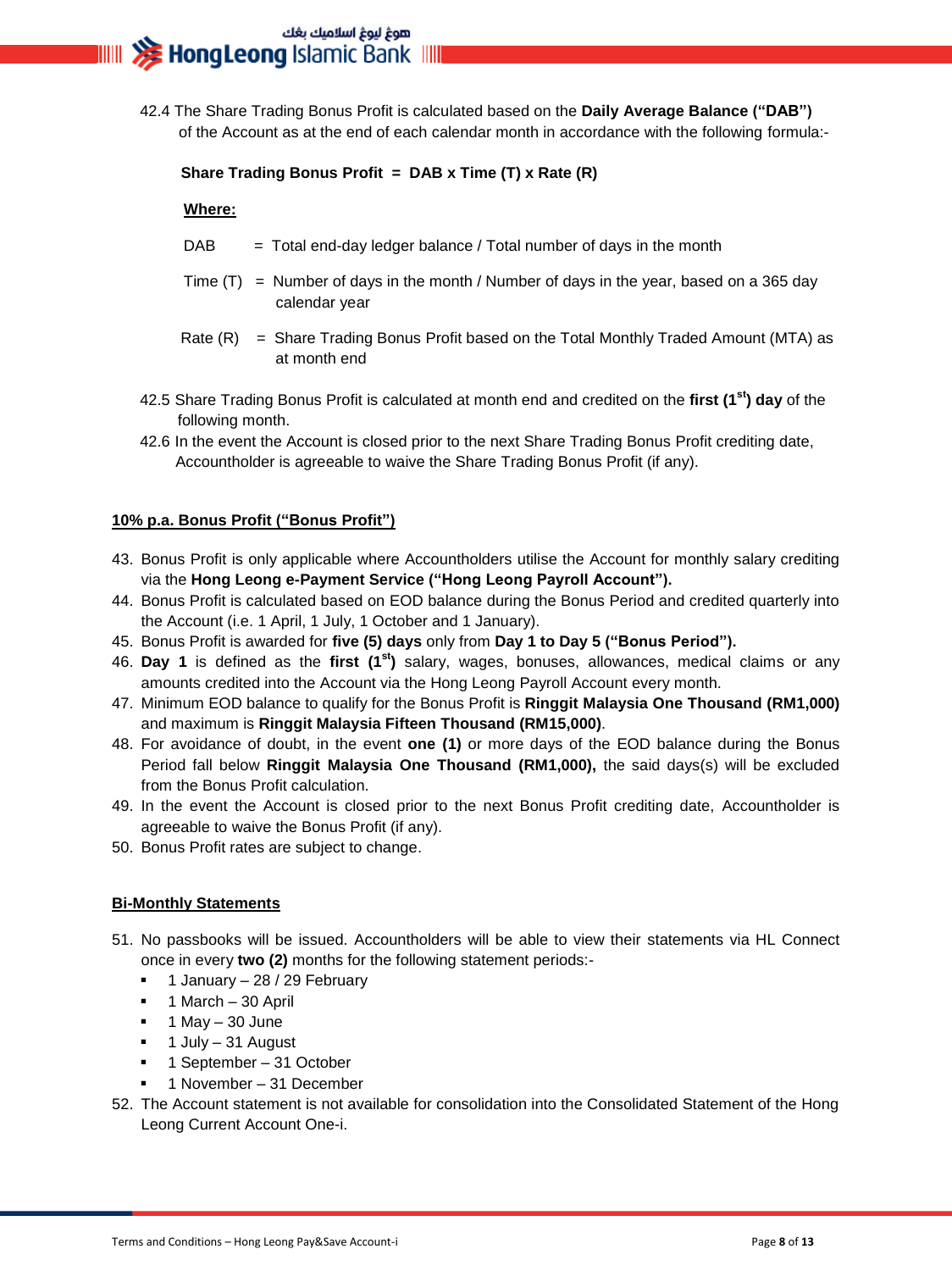42.4 The Share Trading Bonus Profit is calculated based on the **Daily Average Balance ("DAB")**  of the Account as at the end of each calendar month in accordance with the following formula:-

#### **Share Trading Bonus Profit = DAB x Time (T) x Rate (R)**

#### **Where:**

- $DAB = Total end-day leader balance / Total number of days in the month$
- Time  $(T)$  = Number of days in the month / Number of days in the year, based on a 365 day calendar year
- Rate  $(R)$  = Share Trading Bonus Profit based on the Total Monthly Traded Amount (MTA) as at month end
- 42.5 Share Trading Bonus Profit is calculated at month end and credited on the **first (1st) day** of the following month.
- 42.6 In the event the Account is closed prior to the next Share Trading Bonus Profit crediting date, Accountholder is agreeable to waive the Share Trading Bonus Profit (if any).

#### **10% p.a. Bonus Profit ("Bonus Profit")**

- 43. Bonus Profit is only applicable where Accountholders utilise the Account for monthly salary crediting via the **Hong Leong e-Payment Service ("Hong Leong Payroll Account").**
- 44. Bonus Profit is calculated based on EOD balance during the Bonus Period and credited quarterly into the Account (i.e. 1 April, 1 July, 1 October and 1 January).
- 45. Bonus Profit is awarded for **five (5) days** only from **Day 1 to Day 5 ("Bonus Period").**
- 46. **Day 1** is defined as the **first (1st)** salary, wages, bonuses, allowances, medical claims or any amounts credited into the Account via the Hong Leong Payroll Account every month.
- 47. Minimum EOD balance to qualify for the Bonus Profit is **Ringgit Malaysia One Thousand (RM1,000)** and maximum is **Ringgit Malaysia Fifteen Thousand (RM15,000)**.
- 48. For avoidance of doubt, in the event **one (1)** or more days of the EOD balance during the Bonus Period fall below **Ringgit Malaysia One Thousand (RM1,000),** the said days(s) will be excluded from the Bonus Profit calculation.
- 49. In the event the Account is closed prior to the next Bonus Profit crediting date, Accountholder is agreeable to waive the Bonus Profit (if any).
- 50. Bonus Profit rates are subject to change.

#### **Bi-Monthly Statements**

- 51. No passbooks will be issued. Accountholders will be able to view their statements via HL Connect once in every **two (2)** months for the following statement periods:-
	- **1 January 28 / 29 February**
	- $-1$  March  $-30$  April
	- $\blacksquare$  1 May 30 June
	- 1 July 31 August
	- 1 September 31 October
	- 1 November 31 December
- 52. The Account statement is not available for consolidation into the Consolidated Statement of the Hong Leong Current Account One-i.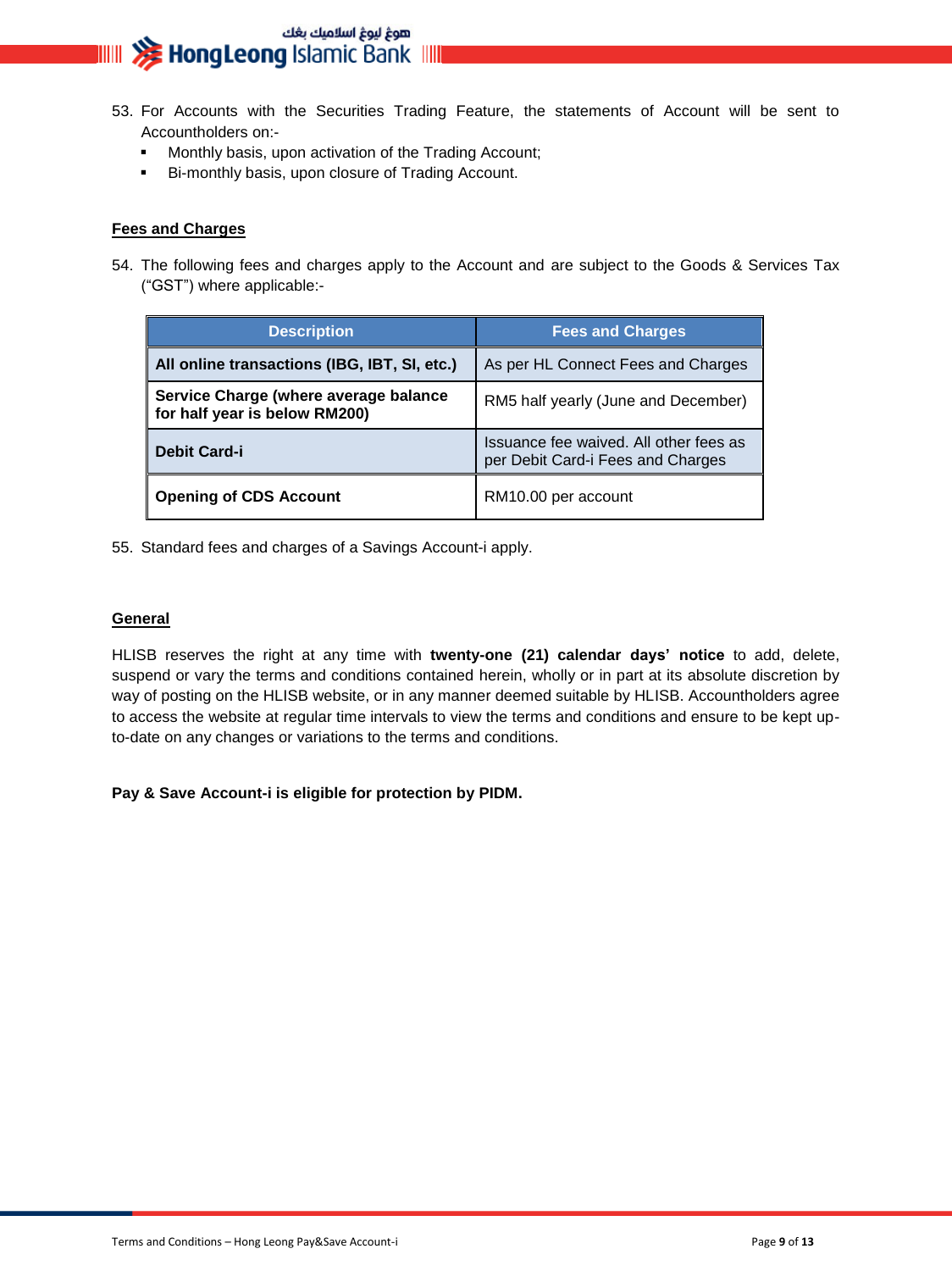# هوغ ليوغ اسلاميك بغك<br>**IIIIII <del>XX</del> HongLeong** Islamic Bank IIIII

- 53. For Accounts with the Securities Trading Feature, the statements of Account will be sent to Accountholders on:-
	- **Monthly basis, upon activation of the Trading Account;**
	- **Bi-monthly basis, upon closure of Trading Account.**

#### **Fees and Charges**

54. The following fees and charges apply to the Account and are subject to the Goods & Services Tax ("GST") where applicable:-

| <b>Description</b>                                                     | <b>Fees and Charges</b>                                                     |  |
|------------------------------------------------------------------------|-----------------------------------------------------------------------------|--|
| All online transactions (IBG, IBT, SI, etc.)                           | As per HL Connect Fees and Charges                                          |  |
| Service Charge (where average balance<br>for half year is below RM200) | RM5 half yearly (June and December)                                         |  |
| <b>Debit Card-i</b>                                                    | Issuance fee waived. All other fees as<br>per Debit Card-i Fees and Charges |  |
| <b>Opening of CDS Account</b>                                          | RM10.00 per account                                                         |  |

55. Standard fees and charges of a Savings Account-i apply.

#### **General**

HLISB reserves the right at any time with **twenty-one (21) calendar days' notice** to add, delete, suspend or vary the terms and conditions contained herein, wholly or in part at its absolute discretion by way of posting on the HLISB website, or in any manner deemed suitable by HLISB. Accountholders agree to access the website at regular time intervals to view the terms and conditions and ensure to be kept upto-date on any changes or variations to the terms and conditions.

**Pay & Save Account-i is eligible for protection by PIDM.**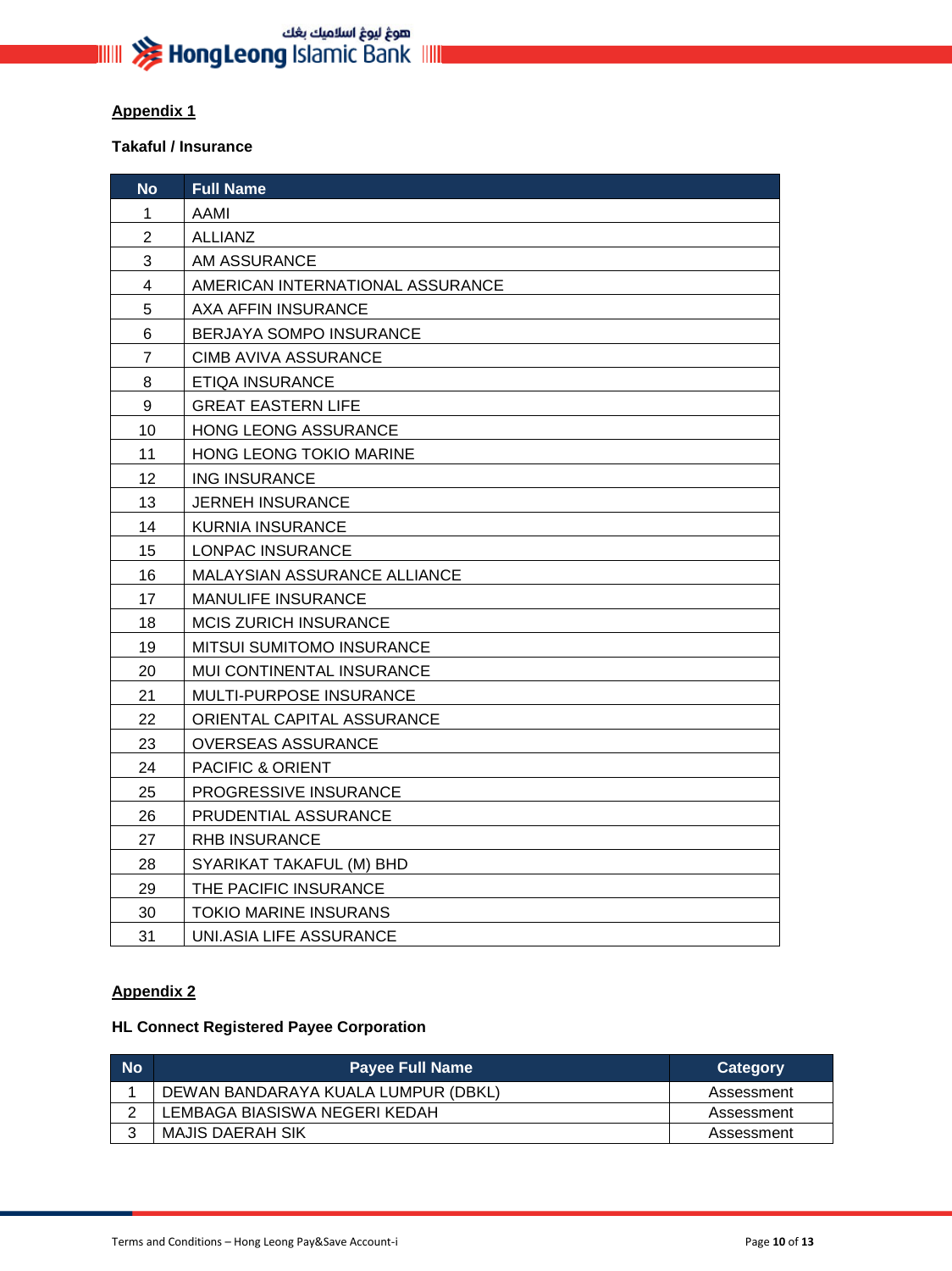#### **Appendix 1**

#### **Takaful / Insurance**

| <b>No</b>               | <b>Full Name</b>                 |
|-------------------------|----------------------------------|
| 1                       | <b>AAMI</b>                      |
| $\overline{2}$          | <b>ALLIANZ</b>                   |
| 3                       | AM ASSURANCE                     |
| $\overline{\mathbf{4}}$ | AMERICAN INTERNATIONAL ASSURANCE |
| 5                       | AXA AFFIN INSURANCE              |
| 6                       | BERJAYA SOMPO INSURANCE          |
| $\overline{7}$          | <b>CIMB AVIVA ASSURANCE</b>      |
| 8                       | <b>ETIQA INSURANCE</b>           |
| 9                       | <b>GREAT EASTERN LIFE</b>        |
| 10                      | HONG LEONG ASSURANCE             |
| 11                      | HONG LEONG TOKIO MARINE          |
| 12                      | <b>ING INSURANCE</b>             |
| 13                      | <b>JERNEH INSURANCE</b>          |
| 14                      | <b>KURNIA INSURANCE</b>          |
| 15                      | LONPAC INSURANCE                 |
| 16                      | MALAYSIAN ASSURANCE ALLIANCE     |
| 17                      | <b>MANULIFE INSURANCE</b>        |
| 18                      | <b>MCIS ZURICH INSURANCE</b>     |
| 19                      | <b>MITSUI SUMITOMO INSURANCE</b> |
| 20                      | MUI CONTINENTAL INSURANCE        |
| 21                      | MULTI-PURPOSE INSURANCE          |
| 22                      | ORIENTAL CAPITAL ASSURANCE       |
| 23                      | <b>OVERSEAS ASSURANCE</b>        |
| 24                      | PACIFIC & ORIENT                 |
| 25                      | PROGRESSIVE INSURANCE            |
| 26                      | PRUDENTIAL ASSURANCE             |
| 27                      | <b>RHB INSURANCE</b>             |
| 28                      | SYARIKAT TAKAFUL (M) BHD         |
| 29                      | THE PACIFIC INSURANCE            |
| 30                      | <b>TOKIO MARINE INSURANS</b>     |
| 31                      | <b>UNI.ASIA LIFE ASSURANCE</b>   |

### **Appendix 2**

### **HL Connect Registered Payee Corporation**

| <b>No</b> | <b>Payee Full Name</b>              | Category   |
|-----------|-------------------------------------|------------|
|           | DEWAN BANDARAYA KUALA LUMPUR (DBKL) | Assessment |
|           | LEMBAGA BIASISWA NEGERI KEDAH       | Assessment |
|           | MAJIS DAERAH SIK                    | Assessment |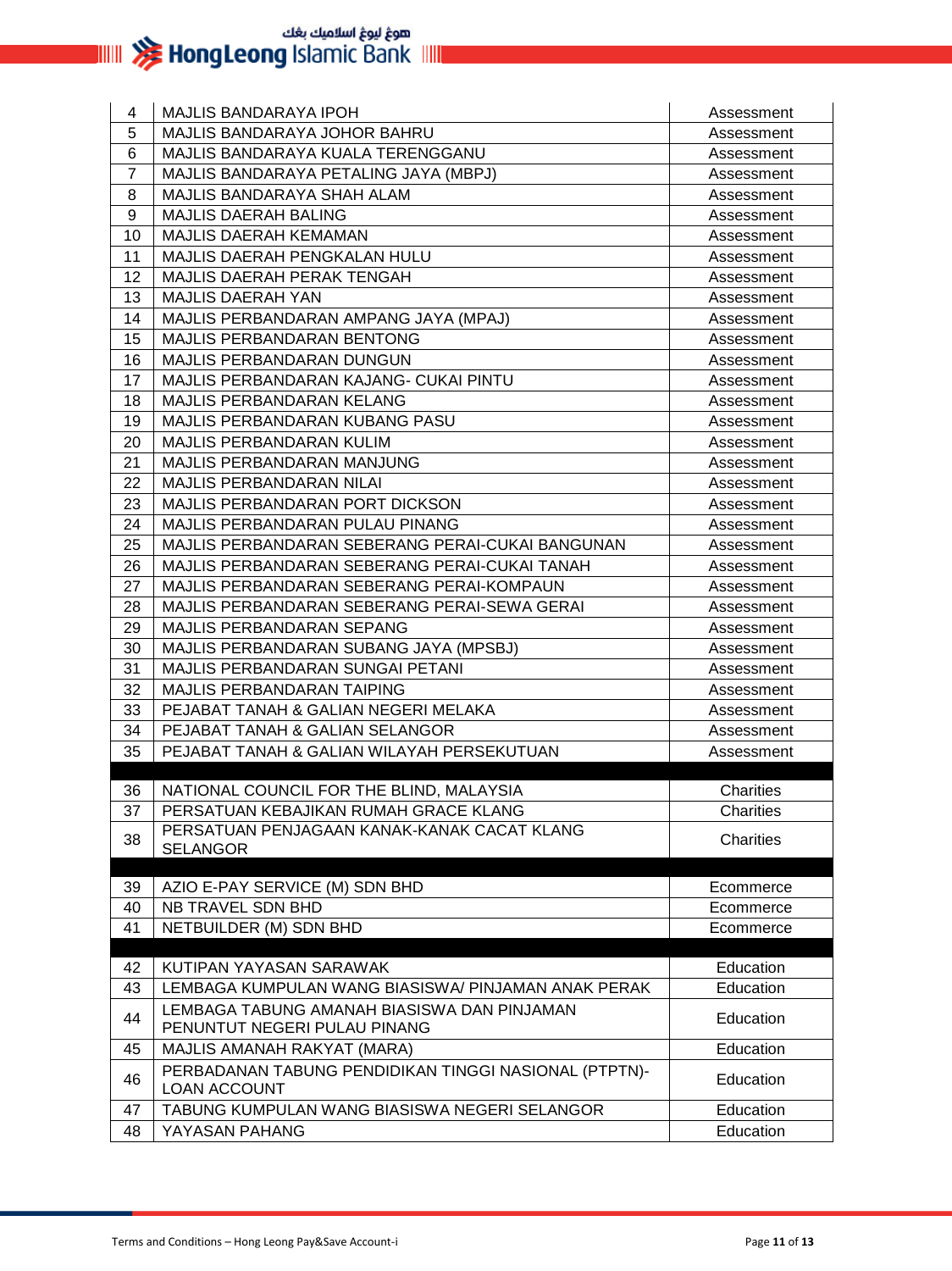| 4              | <b>MAJLIS BANDARAYA IPOH</b>                                                 | Assessment |
|----------------|------------------------------------------------------------------------------|------------|
| 5              | MAJLIS BANDARAYA JOHOR BAHRU                                                 | Assessment |
| 6              | MAJLIS BANDARAYA KUALA TERENGGANU                                            | Assessment |
| $\overline{7}$ | MAJLIS BANDARAYA PETALING JAYA (MBPJ)                                        | Assessment |
| 8              | MAJLIS BANDARAYA SHAH ALAM                                                   | Assessment |
| 9              | <b>MAJLIS DAERAH BALING</b>                                                  | Assessment |
| 10             | MAJLIS DAERAH KEMAMAN                                                        | Assessment |
| 11             | MAJLIS DAERAH PENGKALAN HULU                                                 | Assessment |
| 12             | <b>MAJLIS DAERAH PERAK TENGAH</b>                                            | Assessment |
| 13             | <b>MAJLIS DAERAH YAN</b>                                                     | Assessment |
| 14             | MAJLIS PERBANDARAN AMPANG JAYA (MPAJ)                                        | Assessment |
| 15             | MAJLIS PERBANDARAN BENTONG                                                   | Assessment |
| 16             | MAJLIS PERBANDARAN DUNGUN                                                    | Assessment |
| 17             | MAJLIS PERBANDARAN KAJANG- CUKAI PINTU                                       | Assessment |
| 18             | <b>MAJLIS PERBANDARAN KELANG</b>                                             | Assessment |
| 19             | MAJLIS PERBANDARAN KUBANG PASU                                               | Assessment |
| 20             | <b>MAJLIS PERBANDARAN KULIM</b>                                              | Assessment |
| 21             | <b>MAJLIS PERBANDARAN MANJUNG</b>                                            | Assessment |
| 22             | MAJLIS PERBANDARAN NILAI                                                     | Assessment |
| 23             | MAJLIS PERBANDARAN PORT DICKSON                                              | Assessment |
| 24             | MAJLIS PERBANDARAN PULAU PINANG                                              | Assessment |
| 25             | MAJLIS PERBANDARAN SEBERANG PERAI-CUKAI BANGUNAN                             | Assessment |
| 26             | MAJLIS PERBANDARAN SEBERANG PERAI-CUKAI TANAH                                | Assessment |
| 27             | MAJLIS PERBANDARAN SEBERANG PERAI-KOMPAUN                                    | Assessment |
| 28             | MAJLIS PERBANDARAN SEBERANG PERAI-SEWA GERAI                                 | Assessment |
| 29             | MAJLIS PERBANDARAN SEPANG                                                    | Assessment |
| 30             | MAJLIS PERBANDARAN SUBANG JAYA (MPSBJ)                                       | Assessment |
| 31             | MAJLIS PERBANDARAN SUNGAI PETANI                                             | Assessment |
| 32             | <b>MAJLIS PERBANDARAN TAIPING</b>                                            | Assessment |
| 33             | PEJABAT TANAH & GALIAN NEGERI MELAKA                                         | Assessment |
| 34             | PEJABAT TANAH & GALIAN SELANGOR                                              | Assessment |
| 35             | PEJABAT TANAH & GALIAN WILAYAH PERSEKUTUAN                                   | Assessment |
| 36             | NATIONAL COUNCIL FOR THE BLIND, MALAYSIA                                     | Charities  |
| 37             | PERSATUAN KEBAJIKAN RUMAH GRACE KLANG                                        | Charities  |
|                | PERSATUAN PENJAGAAN KANAK-KANAK CACAT KLANG                                  |            |
| 38             | <b>SELANGOR</b>                                                              | Charities  |
|                |                                                                              |            |
| 39             | AZIO E-PAY SERVICE (M) SDN BHD                                               | Ecommerce  |
| 40             | NB TRAVEL SDN BHD                                                            | Ecommerce  |
| 41             | NETBUILDER (M) SDN BHD                                                       | Ecommerce  |
|                |                                                                              |            |
| 42             | KUTIPAN YAYASAN SARAWAK                                                      | Education  |
| 43             | LEMBAGA KUMPULAN WANG BIASISWA/ PINJAMAN ANAK PERAK                          | Education  |
| 44             | LEMBAGA TABUNG AMANAH BIASISWA DAN PINJAMAN<br>PENUNTUT NEGERI PULAU PINANG  | Education  |
| 45             |                                                                              |            |
|                | MAJLIS AMANAH RAKYAT (MARA)                                                  | Education  |
| 46             | PERBADANAN TABUNG PENDIDIKAN TINGGI NASIONAL (PTPTN)-<br><b>LOAN ACCOUNT</b> | Education  |
| 47             | TABUNG KUMPULAN WANG BIASISWA NEGERI SELANGOR                                | Education  |
| 48             | YAYASAN PAHANG                                                               | Education  |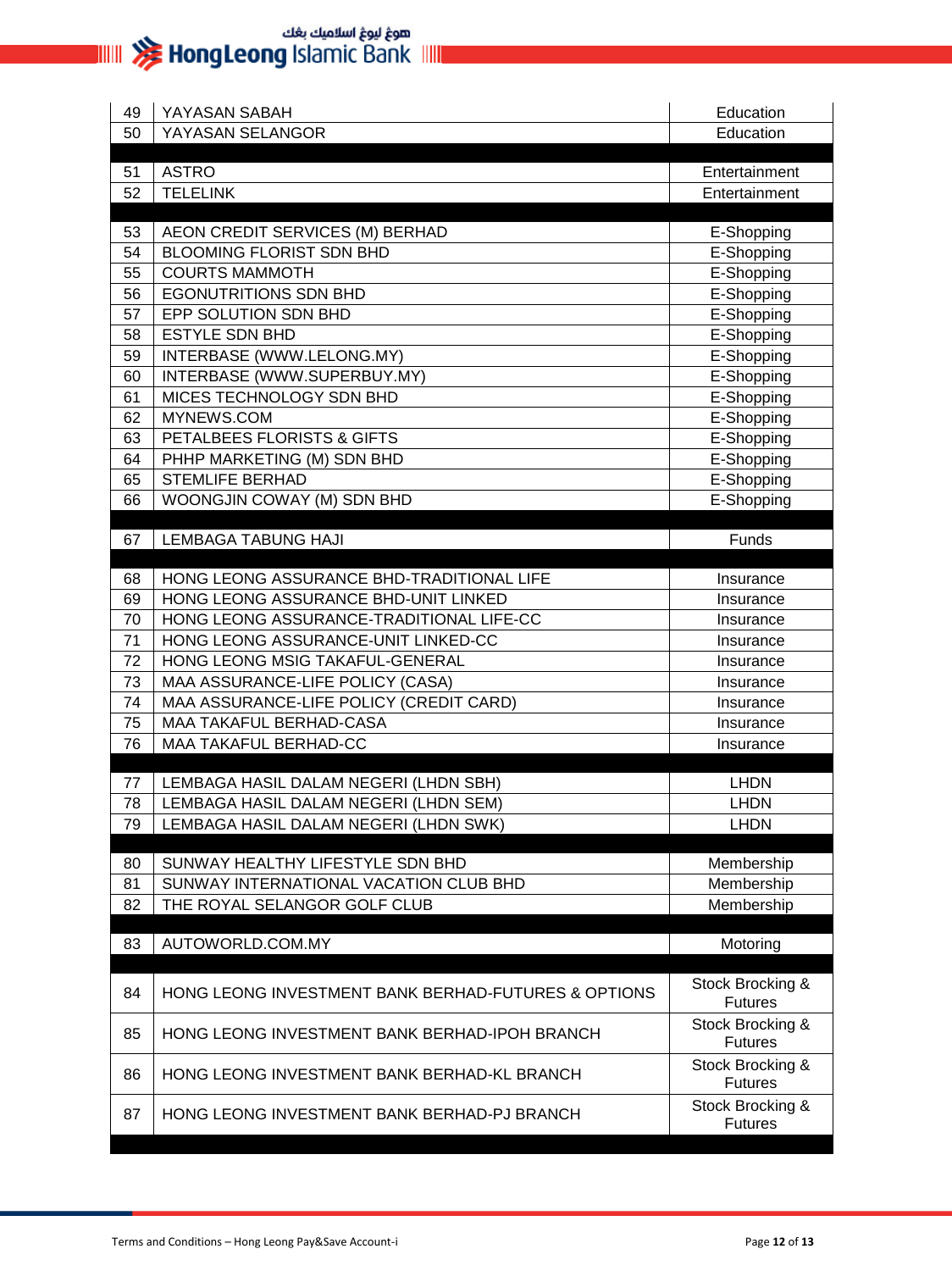| 49 | YAYASAN SABAH                                                  | Education                          |
|----|----------------------------------------------------------------|------------------------------------|
| 50 | YAYASAN SELANGOR                                               | Education                          |
|    |                                                                |                                    |
| 51 | <b>ASTRO</b>                                                   | Entertainment                      |
| 52 | <b>TELELINK</b>                                                | Entertainment                      |
| 53 | AEON CREDIT SERVICES (M) BERHAD                                | E-Shopping                         |
| 54 | <b>BLOOMING FLORIST SDN BHD</b>                                | E-Shopping                         |
| 55 | <b>COURTS MAMMOTH</b>                                          | E-Shopping                         |
| 56 | <b>EGONUTRITIONS SDN BHD</b>                                   | E-Shopping                         |
| 57 | EPP SOLUTION SDN BHD                                           | E-Shopping                         |
| 58 | <b>ESTYLE SDN BHD</b>                                          | E-Shopping                         |
| 59 | INTERBASE (WWW.LELONG.MY)                                      | E-Shopping                         |
| 60 | INTERBASE (WWW.SUPERBUY.MY)                                    | E-Shopping                         |
| 61 | MICES TECHNOLOGY SDN BHD                                       | E-Shopping                         |
| 62 | MYNEWS.COM                                                     | E-Shopping                         |
| 63 | PETALBEES FLORISTS & GIFTS                                     | E-Shopping                         |
| 64 | PHHP MARKETING (M) SDN BHD                                     | E-Shopping                         |
| 65 | <b>STEMLIFE BERHAD</b>                                         | E-Shopping                         |
| 66 | WOONGJIN COWAY (M) SDN BHD                                     | E-Shopping                         |
|    |                                                                |                                    |
| 67 | <b>LEMBAGA TABUNG HAJI</b>                                     | Funds                              |
| 68 | HONG LEONG ASSURANCE BHD-TRADITIONAL LIFE                      | Insurance                          |
| 69 | HONG LEONG ASSURANCE BHD-UNIT LINKED                           | Insurance                          |
| 70 | HONG LEONG ASSURANCE-TRADITIONAL LIFE-CC                       | Insurance                          |
| 71 | HONG LEONG ASSURANCE-UNIT LINKED-CC                            | Insurance                          |
| 72 | HONG LEONG MSIG TAKAFUL-GENERAL                                | Insurance                          |
| 73 | MAA ASSURANCE-LIFE POLICY (CASA)                               | Insurance                          |
| 74 | MAA ASSURANCE-LIFE POLICY (CREDIT CARD)                        | Insurance                          |
| 75 | MAA TAKAFUL BERHAD-CASA                                        | Insurance                          |
| 76 | <b>MAA TAKAFUL BERHAD-CC</b>                                   | Insurance                          |
|    |                                                                |                                    |
| 77 | LEMBAGA HASIL DALAM NEGERI (LHDN SBH)                          | <b>LHDN</b>                        |
| 78 | LEMBAGA HASIL DALAM NEGERI (LHDN SEM)                          | <b>LHDN</b>                        |
| 79 | LEMBAGA HASIL DALAM NEGERI (LHDN SWK)                          | <b>LHDN</b>                        |
| 80 | SUNWAY HEALTHY LIFESTYLE SDN BHD                               | Membership                         |
| 81 | SUNWAY INTERNATIONAL VACATION CLUB BHD                         | Membership                         |
| 82 | THE ROYAL SELANGOR GOLF CLUB                                   | Membership                         |
|    |                                                                |                                    |
| 83 | AUTOWORLD.COM.MY                                               | Motoring                           |
| 84 | <b>HONG LEONG INVESTMENT BANK BERHAD-FUTURES &amp; OPTIONS</b> | Stock Brocking &<br><b>Futures</b> |
| 85 | HONG LEONG INVESTMENT BANK BERHAD-IPOH BRANCH                  | Stock Brocking &<br><b>Futures</b> |
| 86 | HONG LEONG INVESTMENT BANK BERHAD-KL BRANCH                    | Stock Brocking &<br><b>Futures</b> |
| 87 | HONG LEONG INVESTMENT BANK BERHAD-PJ BRANCH                    | Stock Brocking &<br><b>Futures</b> |